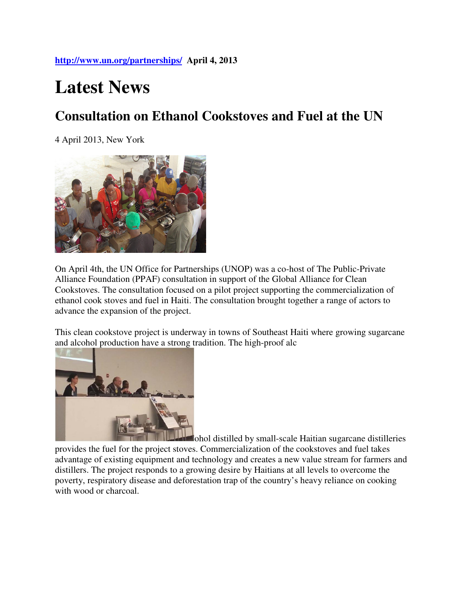## **Latest News**

## **Consultation on Ethanol Cookstoves and Fuel at the UN**

4 April 2013, New York



On April 4th, the UN Office for Partnerships (UNOP) was a co-host of The Public-Private Alliance Foundation (PPAF) consultation in support of the Global Alliance for Clean Cookstoves. The consultation focused on a pilot project supporting the commercialization of ethanol cook stoves and fuel in Haiti. The consultation brought together a range of actors to advance the expansion of the project.

This clean cookstove project is underway in towns of Southeast Haiti where growing sugarcane and alcohol production have a strong tradition. The high-proof alc



ohol distilled by small-scale Haitian sugarcane distilleries provides the fuel for the project stoves. Commercialization of the cookstoves and fuel takes advantage of existing equipment and technology and creates a new value stream for farmers and distillers. The project responds to a growing desire by Haitians at all levels to overcome the poverty, respiratory disease and deforestation trap of the country's heavy reliance on cooking with wood or charcoal.